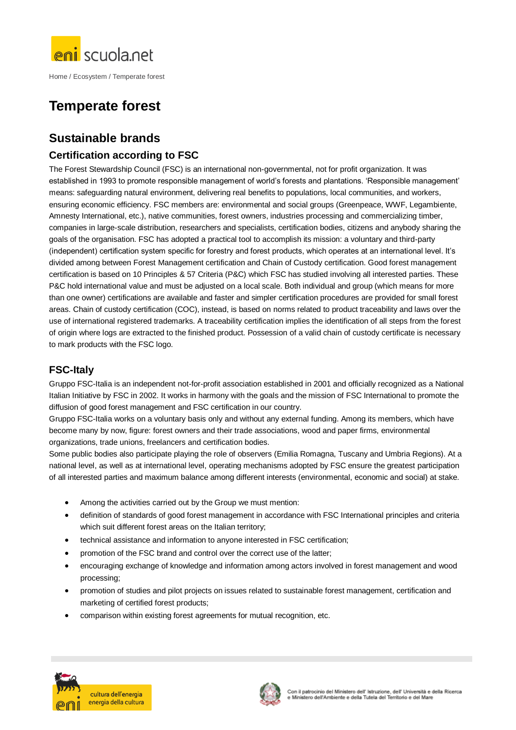

Home / Ecosystem / Temperate forest

# **Temperate forest**

## **Sustainable brands**

### **Certification according to FSC**

The Forest Stewardship Council (FSC) is an international non-governmental, not for profit organization. It was established in 1993 to promote responsible management of world's forests and plantations. 'Responsible management' means: safeguarding natural environment, delivering real benefits to populations, local communities, and workers, ensuring economic efficiency. FSC members are: environmental and social groups (Greenpeace, WWF, Legambiente, Amnesty International, etc.), native communities, forest owners, industries processing and commercializing timber, companies in large-scale distribution, researchers and specialists, certification bodies, citizens and anybody sharing the goals of the organisation. FSC has adopted a practical tool to accomplish its mission: a voluntary and third-party (independent) certification system specific for forestry and forest products, which operates at an international level. It's divided among between Forest Management certification and Chain of Custody certification. Good forest management certification is based on 10 Principles & 57 Criteria (P&C) which FSC has studied involving all interested parties. These P&C hold international value and must be adjusted on a local scale. Both individual and group (which means for more than one owner) certifications are available and faster and simpler certification procedures are provided for small forest areas. Chain of custody certification (COC), instead, is based on norms related to product traceability and laws over the use of international registered trademarks. A traceability certification implies the identification of all steps from the forest of origin where logs are extracted to the finished product. Possession of a valid chain of custody certificate is necessary to mark products with the FSC logo.

### **FSC-Italy**

Gruppo FSC-Italia is an independent not-for-profit association established in 2001 and officially recognized as a National Italian Initiative by FSC in 2002. It works in harmony with the goals and the mission of FSC International to promote the diffusion of good forest management and FSC certification in our country.

Gruppo FSC-Italia works on a voluntary basis only and without any external funding. Among its members, which have become many by now, figure: forest owners and their trade associations, wood and paper firms, environmental organizations, trade unions, freelancers and certification bodies.

Some public bodies also participate playing the role of observers (Emilia Romagna, Tuscany and Umbria Regions). At a national level, as well as at international level, operating mechanisms adopted by FSC ensure the greatest participation of all interested parties and maximum balance among different interests (environmental, economic and social) at stake.

- Among the activities carried out by the Group we must mention:
- definition of standards of good forest management in accordance with FSC International principles and criteria which suit different forest areas on the Italian territory:
- technical assistance and information to anyone interested in FSC certification;
- promotion of the FSC brand and control over the correct use of the latter;
- encouraging exchange of knowledge and information among actors involved in forest management and wood processing;
- promotion of studies and pilot projects on issues related to sustainable forest management, certification and marketing of certified forest products;
- comparison within existing forest agreements for mutual recognition, etc.